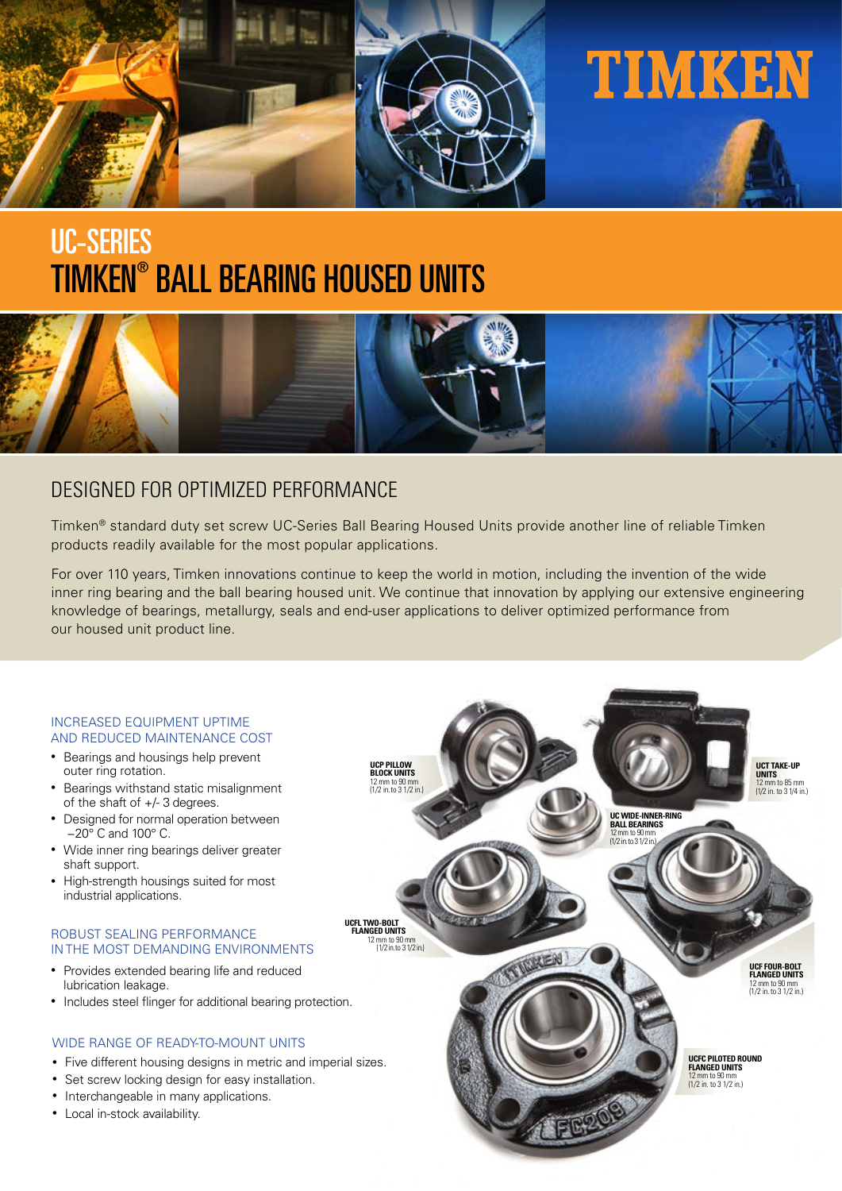

# TIMKEN® BALL BEARING HOUSED UNITS UC-SERIES



# DESIGNED FOR OPTIMIZED PERFORMANCE

Timken® standard duty set screw UC-Series Ball Bearing Housed Units provide another line of reliable Timken products readily available for the most popular applications.

For over 110 years, Timken innovations continue to keep the world in motion, including the invention of the wide inner ring bearing and the ball bearing housed unit. We continue that innovation by applying our extensive engineering knowledge of bearings, metallurgy, seals and end-user applications to deliver optimized performance from our housed unit product line.

#### INCREASED EQUIPMENT UPTIME AND REDUCED MAINTENANCE COST

- Bearings and housings help prevent outer ring rotation.
- Bearings withstand static misalignment of the shaft of +/- 3 degrees.
- Designed for normal operation between −20° C and 100° C.
- Wide inner ring bearings deliver greater shaft support.
- High-strength housings suited for most industrial applications.

#### ROBUST SEALING PERFORMANCE IN THE MOST DEMANDING ENVIRONMENTS

- Provides extended bearing life and reduced lubrication leakage.
- Includes steel flinger for additional bearing protection.

#### WIDE RANGE OF READY-TO-MOUNT UNITS

- Five different housing designs in metric and imperial sizes.
- Set screw locking design for easy installation.
- Interchangeable in many applications.
- Local in-stock availability.